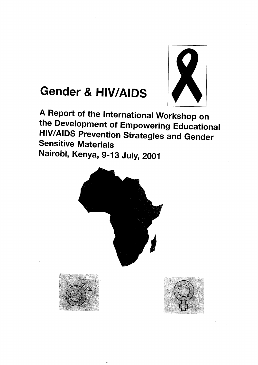

# **Gender & HIV/AIDS**

**A Report of the International Workshop on the Development of Empowering Educational HIV/AIDS Prevention Strategies and Gender Sensitive Materials Nairobi, Kenya, 9-13 July, 2001** 



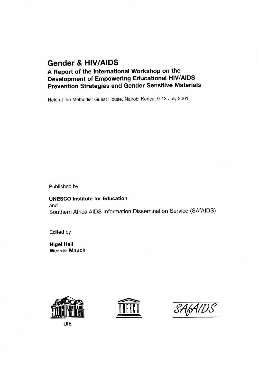# **Gender & HIV/AIDS**

**A Report of the International Workshop on the Development of Empowering Educational HIV/AIDS Prevention Strategies and Gender Sensitive Materials** 

Held at the Methodist Guest House, Nairobi Kenya, 9-13 July 2001.

Published by

**UNESCO Institute for Education**  and Southern Africa AIDS Information Dissemination Service (SAfAIDS)

Edited by

**Nigel Hall Werner Mauch** 







**UIE**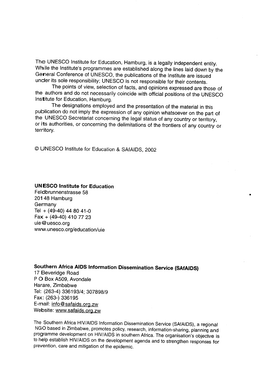The UNESCO Institute for Education, Hamburg, is a legally independent entity. While the Institute's programmes are established along the lines laid down by the General Conference of UNESCO, the publications of the Institute are issued under its sole responsibility; UNESCO is not responsible for their contents.

The points of view, selection of facts, and opinions expressed are those of the authors and do not necessarily coincide with official positions of the UNESCO Institute for Education, Hamburg.

The designations employed and the presentation of the material in this publication do not imply the expression of any opinion whatsoever on the part of the UNESCO Secretariat concerning the legal status of any country or territory, or its authorities, or concerning the delimitations of the frontiers of any country or territory.

© UNESCO Institute for Education & SAfAIDS, 2002

### **UNESCO Institute for Education**

Feldbrunnenstrasse 58 201 48 Hamburg Germany Tel +(49-40) 44 80 41-0 Fax + (49-40) 410 77 23 uie@uesco.org www.unesco.org/education/uie

## **Southern Africa AIDS Information Dissemination Service (SAfAiDS)**

17 Beveridge Road P O Box A509, Avondale Harare, Zimbabwe Tel: (263-4) 336193/4; 307898/9 Fax: (263-) 336195 E-mail: info@safaids.org.zw Website: www.safaids.org.zw

The Southern Africa HIV/AIDS Information Dissemination Service (SAfAIDS), a regional NGO based in Zimbabwe, promotes policy, research, information-sharing, planning and programme development on HIV/AIDS in southern Africa. The organisation's objective is to help establish HIV/AIDS on the development agenda and to strengthen responses for prevention, care and mitigation of the epidemic.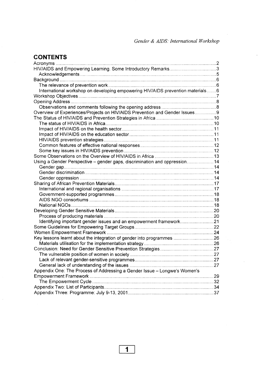### **CONTENTS** zyxwvutsrqponmlkjihgfedcbaZYXWVUTSRQPONMLKJIHGFEDCBA

 $\bar{\phantom{a}}$ 

| HIV/AIDS and Empowering Learning. Some Introductory Remarks3                   |     |
|--------------------------------------------------------------------------------|-----|
|                                                                                |     |
|                                                                                |     |
|                                                                                |     |
| International workshop on developing empowering HIV/AIDS prevention materials6 |     |
|                                                                                |     |
|                                                                                |     |
|                                                                                |     |
| Overview of Experiences/Projects on HIV/AIDS Prevention and Gender Issues9     |     |
|                                                                                |     |
|                                                                                |     |
|                                                                                |     |
|                                                                                |     |
|                                                                                |     |
|                                                                                |     |
|                                                                                |     |
|                                                                                |     |
| Using a Gender Perspective - gender gaps, discrimination and oppression 14     |     |
|                                                                                |     |
|                                                                                |     |
|                                                                                |     |
|                                                                                |     |
|                                                                                |     |
|                                                                                |     |
|                                                                                |     |
|                                                                                |     |
|                                                                                |     |
|                                                                                |     |
|                                                                                |     |
|                                                                                |     |
|                                                                                |     |
|                                                                                |     |
|                                                                                |     |
|                                                                                |     |
|                                                                                | .27 |
|                                                                                |     |
|                                                                                |     |
| Appendix One: The Process of Addressing a Gender Issue - Longwe's Women's      |     |
|                                                                                |     |
|                                                                                |     |
|                                                                                |     |
|                                                                                |     |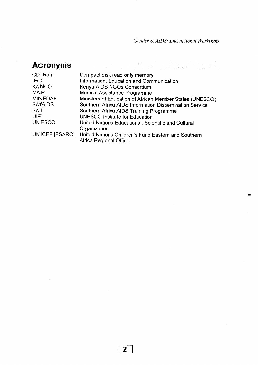Gender & AIDS: International Workshop

# **Acronyms**  $\overline{a}$

 $\sim 10$ 

| CD-Rom         | Compact disk read only memory                                                 |
|----------------|-------------------------------------------------------------------------------|
| <b>IEC</b>     | Information, Education and Communication                                      |
| <b>KANCO</b>   | Kenya AIDS NGOs Consortium                                                    |
| <b>MAP</b>     | <b>Medical Assistance Programme</b>                                           |
| <b>MINEDAF</b> | Ministers of Education of African Member States (UNESCO)                      |
| <b>SAfAIDS</b> | Southern Africa AIDS Information Dissemination Service                        |
| SAT            | Southern Africa AIDS Training Programme                                       |
| <b>UIE</b>     | <b>UNESCO Institute for Education</b>                                         |
| <b>UNESCO</b>  | United Nations Educational, Scientific and Cultural                           |
|                | Organization                                                                  |
| UNICEF [ESARO] | United Nations Children's Fund Eastern and Southern<br>Africa Regional Office |

 $\bar{z}$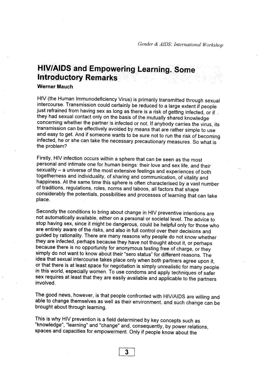# **HIV/AIDS and Empowering Learning. Some Introductory Remarks**

#### Werner Mauch

HIV (the Human Immunodeficiency Virus) is primarily transmitted through sexual intercourse. Transmission could certainly be reduced to a large extent if people just refrained from having sex as long as there is a risk of getting infected, or if  $\angle$ they had sexual contact only on the basis of the mutually shared knowledge concerning whether the partner is infected or not. If anybody carries the virus, its transmission can be effectively avoided by means that are rather simple to use and easy to get. And if someone wants to be sure not to run the risk of becoming infected, he or she can take the necessary precautionary measures. So what is the problem?

Firstly, HIV infection occurs within a sphere that can be seen as the most personal and intimate one for human beings: their love and sex life, and their sexuality - a universe of the most extensive feelings and experiences of both togetherness and individuality, of sharing and communication, of vitality and happiness. At the same time this sphere is often characterised by a vast number of traditions, regulations, roles, norms and taboos, all factors that shape considerably the potentials, possibilities and processes of learning that can take place.

Secondly the conditions to bring about change in HIV preventive intentions are not automatically available, either on a personal or societal level. The advice to stop having sex, since it might be dangerous, could be helpful only for those who are entirely aware of the risks, and also in full control over their decisions and guided by rationality. There are many reasons why people do not know whether they are infected, perhaps because they have not thought about it, or perhaps because there is no opportunity for anonymous testing free of charge, or they simply do not want to know about their "sero status" for different reasons. The idea that sexual intercourse takes place only when both partners agree upon it, or that there is at least space for negotiation is simply unrealistic for many people in this world, especially women. To use condoms and apply techniques of safer sex requires at least that they are easily available and applicable to the partners involved.

The good news, however, is that people confronted with HIV/AIDS are willing and able to change themselves as well as their environment, and such change can be brought about through learning.

This is why HIV prevention is a field determined by key concepts such as "knowledge", "learning" and "change" and, consequently, by power relations, spaces and capacities for empowerment. Only if people know about the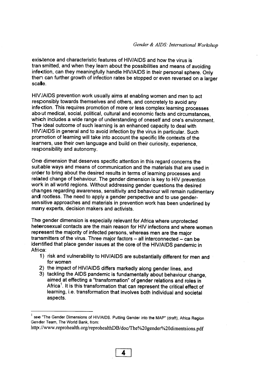existence and characteristic features of HIV/AIDS and how the virus is tran smitted, and when they learn about the possibilities and means of avoiding infection, can they meaningfully handle HIV/AIDS in their personal sphere. Only then can further growth of infection rates be stopped or even reversed on a larger scale.

HIWAIDS prevention work usually aims at enabling women and men to act responsibly towards themselves and others, and concretely to avoid any infection. This requires promotion of more or less complex learning processes about medical, social, political, cultural and economic facts and circumstances, which includes a wide range of understanding of oneself and one's environment. The ideal outcome of such learning is an enhanced capacity to deal with HIV/AIDS in general and to avoid infection by the virus in particular. Such promotion of learning will take into account the specific life contexts of the learners, use their own language and build on their curiosity, experience, responsibility and autonomy.

One dimension that deserves specific attention in this regard concerns the suitable ways and means of communication and the materials that are used in order to bring about the desired results in terms of learning processes and related change of behaviour. The gender dimension is key to HIV prevention work in all world regions. Without addressing gender questions the desired changes regarding awareness, sensitivity and behaviour will remain rudimentary and rootless. The need to apply a gender perspective and to use gendersensitive approaches and materials in prevention work has been underlined by many experts, decision makers and activists.

The gender dimension is especially relevant for Africa where unprotected heterosexual contacts are the main reason for HIV infections and where women represent the majority of infected persons, whereas men are the major transmitters of the virus. Three major factors - all interconnected - can be identified that place gender issues at the core of the HIV/AIDS pandemic in Afri<sub>ca</sub>:

- 1) risk and vulnerability to HIV/AIDS are substantially different for men and for women
- 2) the impact of HIV/AIDS differs markedly along gender lines, and
- 3) tackling the AIDS pandemic is fundamentally about behaviour change, aimed at effecting a "transformation" of gender relations and roles in Africa<sup>1</sup>. It is this transformation that can represent the critical effect of learning, i.e. transformation that involves both individual and societal aspects.

see "The Gender Dimensions of HIV/AIDS. Putting Gender into the MAP" (draft), Africa Region **Gender Team, The World Bank, from:** 

http://www.reprohealth.org/reprohealthDB/doc/The%20gender%20dimentsions.pdf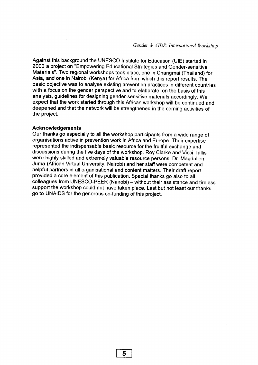Against this background the UNESCO Institute for Education (UIE) started in 2000 a project on "Empowering Educational Strategies and Gender-sensitive Materials". Two regional workshops took place, one in Changmai (Thailand) for Asia, and one in Nairobi (Kenya) for Africa from which this report results. The basic objective was to analyse existing prevention practices in different countries with a focus on the gender perspective and to elaborate, on the basis of this analysis, guidelines for designing gender-sensitive materials accordingly. We expect that the work started through this African workshop will be continued and deepened and that the network will be strengthened in the coming activities of the project.

#### **Acknowledgements**

Our thanks go especially to all the workshop participants from a wide range of organisations active in prevention work in Africa and Europe. Their expertise represented the indispensable basic resource for the fruitful exchange and discussions during the five days of the workshop. Roy Clarke and Vicci Tallis were highly skilled and extremely valuable resource persons. Dr. Magdallen Juma (African Virtual University, Nairobi) and her staff were competent and helpful partners in all organisational and content matters. Their draft report provided a core element of this publication. Special thanks go also to all colleagues from UNESCO-PEER (Nairobi) - without their assistance and tireless support the workshop could not have taken place. Last but not least our thanks go to UNAIDS for the generous co-funding of this project.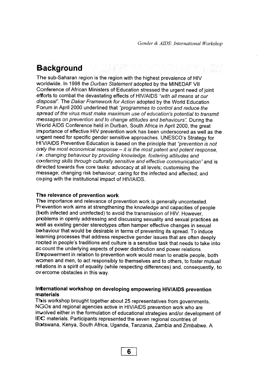# **Background**

The sub-Saharan region is the region with the highest prevalence of HIV worldwide. In 1998 the Durban Statement adopted by the MINEDAF VII Conference of African Ministers of Education stressed the urgent need of joint efforts to combat the devastating effects of HIV/AIDS "with all means at our disposal". The Dakar Framework for Action adopted by the World Education Forum in April 2000 underlined that "programmes to control and reduce the spread of the virus must make maximum use of education's potential to transmit messages on prevention and to change attitudes and behaviours". During the World AIDS Conference held in Durban, South Africa in April 2000, the great importance of effective HIV prevention work has been underscored as well as the urgent need for specific gender sensitive approaches. UNESCO's Strategy for HIV/AIDS Preventive Education is based on the principle that "prevention is not only the most economical response - it is the most patent and potent response, i.e. changing behaviour by providing knowledge, fostering attitudes and conferring skills through culturally sensitive and effective communication" and is directed towards five core tasks: advocacy at all levels; customising the message; changing risk behaviour; caring for the infected and affected; and coping with the institutional impact of HIV/AIDS.

#### The relevance of prevention work

The importance and relevance of prevention work is generally uncontested. Prevention work aims at strengthening the knowledge and capacities of people (both infected and uninfected) to avoid the transmission of HIV. However, problems in openly addressing and discussing sexuality and sexual practices as well as existing gender stereotypes often hamper effective changes in sexual behaviour that would be desirable in terms of preventing its spread. To induce learning processes that address respective gender issues that are often deeply rooted in people's traditions and culture is a sensitive task that needs to take into account the underlying aspects of power distribution and power relations. Errpowerment in relation to prevention work would mean to enable people, both women and men, to act responsibly to themselves and to others, to foster mutual relations in a spirit of equality (while respecting differences) and, consequently, to overcome obstacles in this way.

### **International workshop on developing empowering HIV/AIDS prevention materials**

This workshop brought together about 25 representatives from governments, NGOs and regional agencies active in HIV/AIDS prevention work who are inwolved either in the formulation of educational strategies and/or development of IEC materials. Participants represented the seven regional countries of **B3tswana,** Kenya, South Africa, Uganda, Tanzania, Zambia and Zimbabwe. A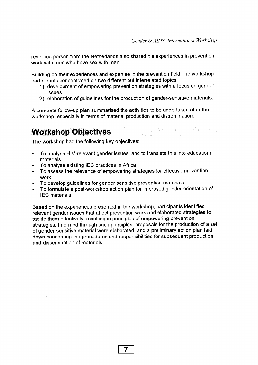resource person from the Netherlands also shared his experiences in prevention work with men who have sex with men.

Building on their experiences and expertise in the prevention field, the workshop participants concentrated on two different but interrelated topics:

- 1) development of empowering prevention strategies with a focus on gender issues
- 2) elaboration of guidelines for the production of gender-sensitive materials.

A concrete follow-up plan summarised the activities to be undertaken after the workshop, especially in terms of material production and dissemination.

## **Workshop Objectives**

The workshop had the following key objectives:

- To analyse HIV-relevant gender issues, and to translate this into educational materials
- To analyse existing lEC practices in Africa
- To assess the relevance of empowering strategies for effective prevention work
- To develop guidelines for gender sensitive prevention materials.
- To formulate a post-workshop action plan for improved gender orientation of IFC materials.

Based on the experiences presented in the workshop, participants identified relevant gender issues that affect prevention work and elaborated strategies to tackle them effectively, resulting in principles of empowering prevention strategies. Informed through such principles, proposals for the production of a set of gender-sensitive material were elaborated; and a preliminary action plan laid down concerning the procedures and responsibilities for subsequent production and dissemination of materials.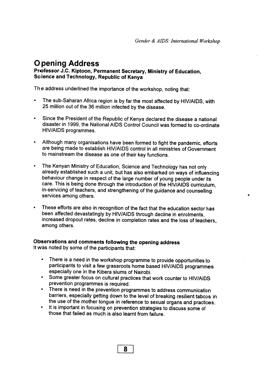# **Opening Address**

**Professor J.C. Kiptoon, Permanent Secretary, Ministry of Education,**  Science and Technology, Republic of Kenya

The address underlined the importance of the workshop, noting that:

- The sub-Saharan Africa region is by far the most affected by HIV/AIDS, with 25 million out of the 36 million infected by the disease.
- Since the President of the Republic of Kenya declared the disease a national disaster in 1999, the National AIDS Control Council was formed to co-ordinate HIV/AIDS programmes.
- Although many organisations have been formed to fight the pandemic, efforts are being made to establish HIV/AIDS control in all ministries of Government to mainstream the disease as one of their key functions.
- The Kenyan Ministry of Education, Science and Technology has not only already established such a unit, but has also embarked on ways of influencing behaviour change in respect of the large number of young people under its care. This is being done through the introduction of the HIV/AIDS curriculum, in-servicing of teachers, and strengthening of the guidance and counselling services among others.
- These efforts are also in recognition of the fact that the education sector has been affected devastatingly by HIV/AIDS through decline in enrolments, increased dropout rates, decline in completion rates and the loss of teachers, among others.

### **Observations and comments following the opening address**

It was noted by some of the participants that:

- There is a need in the workshop programme to provide opportunities to participants to visit a few grassroots home based HIV/AIDS programmes especially one in the Kibera slums of Nairobi.
- Some greater focus on cultural practices that work counter to HIV/AIDS prevention programmes is required.
- There is need in the prevention programmes to address communication barriers, especially getting down to the level of breaking resilient taboos in the use of the mother tongue in reference to sexual organs and practices.
- It is important in focusing on prevention strategies to discuss some of those that failed as much is also learnt from failure.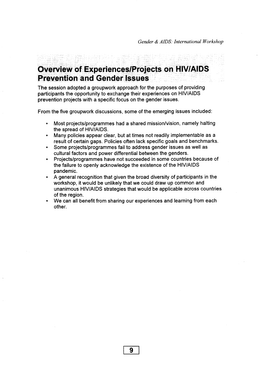# **Overview of Experiences/Projects on HIV/AIDS Prevention and Gender Issues**

The session adopted a groupwork approach for the purposes of providing participants the opportunity to exchange their experiences on HIV/AIDS prevention projects with a specific focus on the gender issues.

From the five groupwork discussions, some of the emerging issues included:

- Most projects/programmes had a shared mission/vision, namely halting the spread of HIV/AIDS.
- Many policies appear clear, but at times not readily implementable as a result of certain gaps. Policies often lack specific goals and benchmarks.
- Some projects/programmes fail to address gender issues as well as cultural factors and power differential between the genders.
- Projects/programmes have not succeeded in some countries because of the failure to openly acknowledge the existence of the HIV/AIDS pandemic.
- A general recognition that given the broad diversity of participants in the workshop, it would be unlikely that we could draw up common and unanimous HIV/AIDS strategies that would be applicable across countries of the region.
- We can all benefit from sharing our experiences and learning from each other.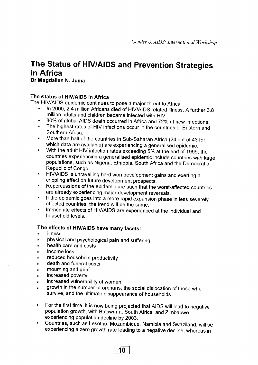# **The Status of HIV/AIDS and Prevention Strategies in Africa**

### **Dr Magdallen N. Juma**

### The status of HIV/AIDS in Africa

The HIV/AIDS epidemic continues to pose a major threat to Africa;

- In 2000, 2.4 million Africans died of HIV/AIDS related illness. A further 3.8 million adults and children became infected with HIV.
- 80% of global AIDS death occurred in Africa and 72% of new infections.
- The highest rates of HIV infections occur in the countries of Eastern and Southern Africa.
- More than half of the countries in Sub-Saharan Africa (24 out of 43 for which data are available) are experiencing a generalised epidemic.
- With the adult HIV infection rates exceeding 5% at the end of 1999, the countries experiencing a generalised epidemic include countries with large populations, such as Nigeria, Ethiopia, South Africa and the Democratic Republic of Congo.
- HIV/AIDS is unravelling hard won development gains and exerting a crippling effect on future development prospects.
- Repercussions of the epidemic are such that the worst-affected countries are already experiencing major development reversals.
- If the epidemic goes into a more rapid expansion phase in less severely affected countries, the trend will be the same.
- Immediate effects of HIV/AIDS are experienced at the individual and household levels.

### **The effects of HIV/AIDS have many facets:**

- illness
- physical and psychological pain and suffering
- health care and costs
- income loss  $\blacksquare$
- reduced household productivity
- death and funeral costs  $\blacksquare$
- mourning and grief  $\blacksquare$
- increased poverty  $\blacksquare$
- increased vulnerability of women
- growth in the number of orphans, the social dislocation of those who survive, and the ultimate disappearance of households.
- For the first time, it is now being projected that AIDS will lead to negative  $\bullet$ population growth, with Botswana, South Africa, and Zimbabwe experiencing population decline by 2003.
- Countries, such as Lesotho, Mozambique, Namibia and Swaziland, will be experiencing a zero growth rate leading to a negative decline, whereas in

**10**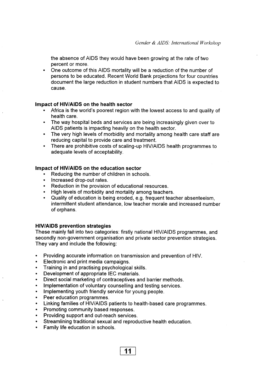the absence of AIDS they would have been growing at the rate of two percent or more.

• One outcome of this AIDS mortality will be a reduction of the number of persons to be educated. Recent World Bank projections for four countries document the large reduction in student numbers that AIDS is expected to **z**ause. *zyxwatsrqponmlkiidigide.* **<b>zy** 

### **Impact of HIV/AIDS on the health sector**

- Africa is the world's poorest region with the lowest access to and quality of health care.
- The way hospital beds and services are being increasingly given over to AIDS patients is impacting heavily on the health sector.
- The very high levels of morbidity and mortality among health care staff are reducing capital to provide care and treatment.
- There are prohibitive costs of scaling-up HIV/AIDS health programmes to adequate levels of acceptability.

### **Impact of HIV/AIDS on the education sector**

- Reducing the number of children in schools.
- Increased drop-out rates.
- Reduction in the provision of educational resources.
- High levels of morbidity and mortality among teachers.
- Quality of education is being eroded, e.g. frequent teacher absenteeism, intermittent student attendance, low teacher morale and increased number of orphans.

### **HIV/AIDS prevention strategies**

These mainly fall into two categories: firstly national HIV/AIDS programmes, and secondly non-government organisation and private sector prevention strategies. They vary and include the following:

- Providing accurate information on transmission and prevention of HIV.
- Electronic and print media campaigns.
- Training in and practising psychological skills.
- Development of appropriate lEC materials.
- Direct social marketing of contraceptives and barrier methods.
- Implementation of voluntary counselling and testing services.
- Implementing youth friendly service for young people.
- Peer education programmes.
- Linking families of HIV/AIDS patients to health-based care programmes.

**11** 

- Promoting community based responses.
- Providing support and out-reach services.
- Streamlining traditional sexual and reproductive health education.
- Family life education in schools.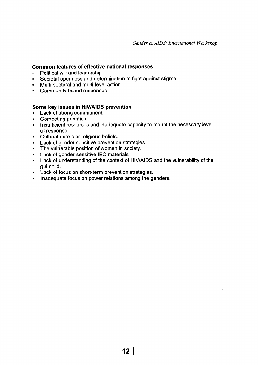### **Common features of effective national responses**

- Political will and leadership.
- Societal openness and determination to fight against stigma.
- Multi-sectoral and multi-level action.
- Community based responses.

### **Some key issues in HIV/AIDS prevention**

- Lack of strong commitment.
- Competing priorities.
- Insufficient resources and inadequate capacity to mount the necessary level of response.
- Cultural norms or religious beliefs.
- Lack of gender sensitive prevention strategies.
- The vulnerable position of women in society.
- Lack of gender-sensitive IEC materials.
- Lack of understanding of the context of HIV/AIDS and the vulnerability of the girl child.
- Lack of focus on short-term prevention strategies.
- Inadequate focus on power relations among the genders.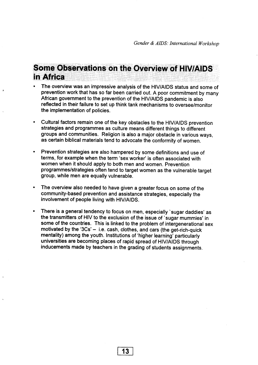# **Some Observations on the Overview of HIV/AIDS in Africa**

- The overview was an impressive analysis of the HIV/AIDS status and some of prevention work that has so far been carried out. A poor commitment by many African government to the prevention of the HIV/AIDS pandemic is also reflected in their failure to set up think tank mechanisms to oversee/monitor the implementation of policies.
- Cultural factors remain one of the key obstacles to the HIV/AIDS prevention strategies and programmes as culture means different things to different groups and communities. Religion is also a major obstacle in various ways, as certain biblical materials tend to advocate the conformity of women.
- Prevention strategies are also hampered by some definitions and use of terms, for example when the term 'sex worker' is often associated with women when it should apply to both men and women. Prevention programmes/strategies often tend to target women as the vulnerable target group, while men are equally vulnerable.
- The overview also needed to have given a greater focus on some of the community-based prevention and assistance strategies, especially the involvement of people living with HIV/AIDS.
- There is a general tendency to focus on men, especially 'sugar daddies' as the transmitters of HIV to the exclusion of the issue of 'sugar mummies' in some of the countries. This is linked to the problem of intergenerational sex motivated by the '3Cs'  $-$  i.e. cash, clothes, and cars (the get-rich-quick mentality) among the youth. Institutions of 'higher learning' particularly universities are becoming places of rapid spread of HIV/AIDS through inducements made by teachers in the grading of students assignments.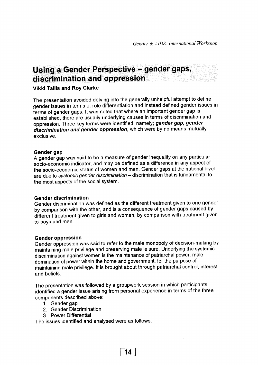# **Using a Gender Perspective - gender gaps, discrimination and oppression**

### **Vikki Tallis and Roy Clarke**

The presentation avoided delving into the generally unhelpful attempt to define gender issues in terms of role differentiation and instead defined gender issues in terms of gender gaps. It was noted that where an important gender gap is established, there are usually underlying causes in terms of discrimination and oppression. Three key terms were identified, namely; *gender gap, gender* **discrimination and gender oppression,** which were by no means mutually exclusive.

#### **Gender gap**

A gender gap was said to be a measure of gender inequality on any particular socio-economic indicator, and may be defined as a difference in any aspect of the socio-economic status of women and men. Gender gaps at the national level are due to systemic gender discrimination - discrimination that is fundamental to the most aspects of the social system.

### **Gender discrimination**

Gender discrimination was defined as the different treatment given to one gender by comparison with the other, and is a consequence of gender gaps caused by different treatment given to girls and women, by comparison with treatment given to boys and men.

#### **Gender oppression**

Gender oppression was said to refer to the male monopoly of decision-making by maintaining male privilege and preserving male leisure. Underlying the systemic discrimination against women is the maintenance of patriarchal power: male domination of power within the home and government, for the purpose of maintaining male privilege. It is brought about through patriarchal control, interest and beliefs.

The presentation was followed by a groupwork session in which participants identified a gender issue arising from personal experience in terms of the three components described above:

- 1. Gender gap
- 2. Gender Discrimination
- 3. Power Differential

The issues identified and analysed were as follows: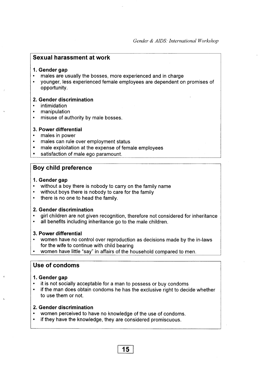### **Sexual harassment at work**

#### 1. Gender gap

- males are usually the bosses, more experienced and in charge
- younger, less experienced female employees are dependent on promises of opportunity.

#### **2. Gender discrimination**

- intimidation
- manipulation
- misuse of authority by male bosses.

#### **3. Power differential**

- males in power
- males can rule over employment status
- male exploitation at the expense of female employees
- satisfaction of male ego paramount.

### **Boy child preference**

### **1. Gender gap**

- without a boy there is nobody to carry on the family name
- without boys there is nobody to care for the family
- there is no one to head the family.

### **2. Gender discrimination**

- girl children are not given recognition, therefore not considered for inheritance
- all benefits including inheritance go to the male children.

### **3. Power differential**

- women have no control over reproduction as decisions made by the in-laws for the wife to continue with child bearing
- women have little "say" in affairs of the household compared to men.

### **Use of condoms**

### **1. Gender gap**

- it is not socially acceptable for a man to possess or buy condoms
- if the man does obtain condoms he has the exclusive right to decide whether to use them or not.

### **2. Gender discrimination**

- women perceived to have no knowledge of the use of condoms.
- if they have the knowledge, they are considered promiscuous.